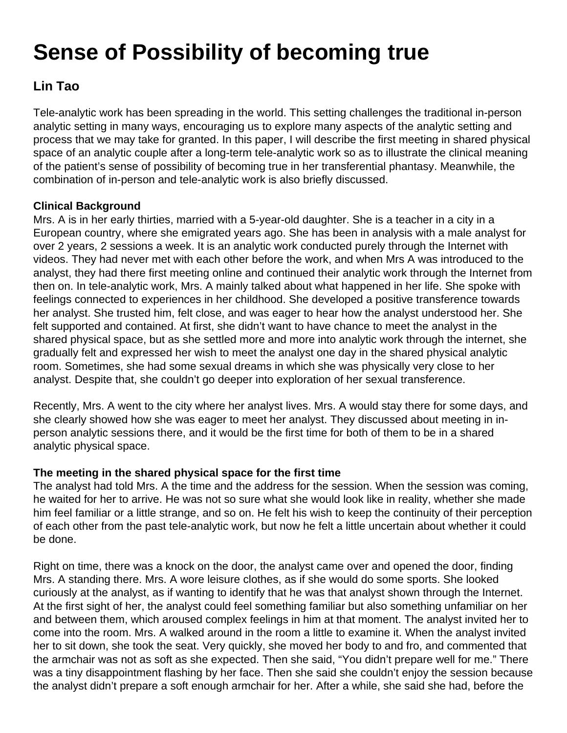# **Sense of Possibility of becoming true**

## **Lin Tao**

Tele-analytic work has been spreading in the world. This setting challenges the traditional in-person analytic setting in many ways, encouraging us to explore many aspects of the analytic setting and process that we may take for granted. In this paper, I will describe the first meeting in shared physical space of an analytic couple after a long-term tele-analytic work so as to illustrate the clinical meaning of the patient's sense of possibility of becoming true in her transferential phantasy. Meanwhile, the combination of in-person and tele-analytic work is also briefly discussed.

### **Clinical Background**

Mrs. A is in her early thirties, married with a 5-year-old daughter. She is a teacher in a city in a European country, where she emigrated years ago. She has been in analysis with a male analyst for over 2 years, 2 sessions a week. It is an analytic work conducted purely through the Internet with videos. They had never met with each other before the work, and when Mrs A was introduced to the analyst, they had there first meeting online and continued their analytic work through the Internet from then on. In tele-analytic work, Mrs. A mainly talked about what happened in her life. She spoke with feelings connected to experiences in her childhood. She developed a positive transference towards her analyst. She trusted him, felt close, and was eager to hear how the analyst understood her. She felt supported and contained. At first, she didn't want to have chance to meet the analyst in the shared physical space, but as she settled more and more into analytic work through the internet, she gradually felt and expressed her wish to meet the analyst one day in the shared physical analytic room. Sometimes, she had some sexual dreams in which she was physically very close to her analyst. Despite that, she couldn't go deeper into exploration of her sexual transference.

Recently, Mrs. A went to the city where her analyst lives. Mrs. A would stay there for some days, and she clearly showed how she was eager to meet her analyst. They discussed about meeting in inperson analytic sessions there, and it would be the first time for both of them to be in a shared analytic physical space.

### **The meeting in the shared physical space for the first time**

The analyst had told Mrs. A the time and the address for the session. When the session was coming, he waited for her to arrive. He was not so sure what she would look like in reality, whether she made him feel familiar or a little strange, and so on. He felt his wish to keep the continuity of their perception of each other from the past tele-analytic work, but now he felt a little uncertain about whether it could be done.

Right on time, there was a knock on the door, the analyst came over and opened the door, finding Mrs. A standing there. Mrs. A wore leisure clothes, as if she would do some sports. She looked curiously at the analyst, as if wanting to identify that he was that analyst shown through the Internet. At the first sight of her, the analyst could feel something familiar but also something unfamiliar on her and between them, which aroused complex feelings in him at that moment. The analyst invited her to come into the room. Mrs. A walked around in the room a little to examine it. When the analyst invited her to sit down, she took the seat. Very quickly, she moved her body to and fro, and commented that the armchair was not as soft as she expected. Then she said, "You didn't prepare well for me." There was a tiny disappointment flashing by her face. Then she said she couldn't enjoy the session because the analyst didn't prepare a soft enough armchair for her. After a while, she said she had, before the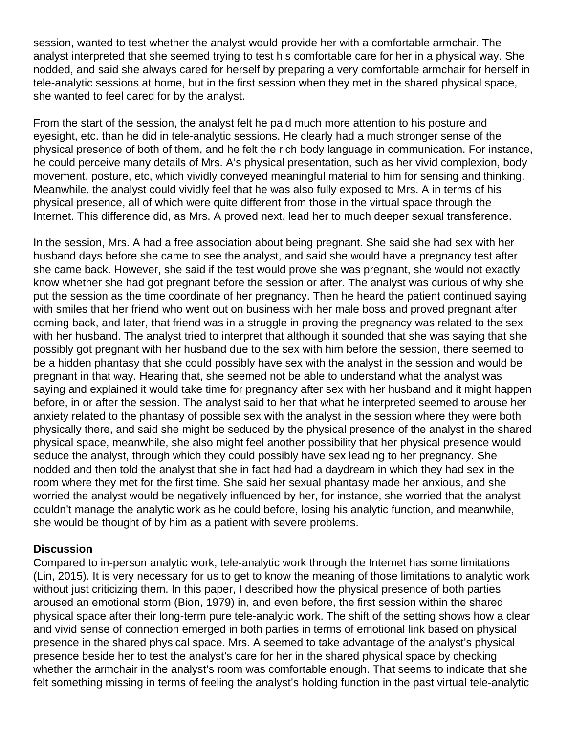session, wanted to test whether the analyst would provide her with a comfortable armchair. The analyst interpreted that she seemed trying to test his comfortable care for her in a physical way. She nodded, and said she always cared for herself by preparing a very comfortable armchair for herself in tele-analytic sessions at home, but in the first session when they met in the shared physical space, she wanted to feel cared for by the analyst.

From the start of the session, the analyst felt he paid much more attention to his posture and eyesight, etc. than he did in tele-analytic sessions. He clearly had a much stronger sense of the physical presence of both of them, and he felt the rich body language in communication. For instance, he could perceive many details of Mrs. A's physical presentation, such as her vivid complexion, body movement, posture, etc, which vividly conveyed meaningful material to him for sensing and thinking. Meanwhile, the analyst could vividly feel that he was also fully exposed to Mrs. A in terms of his physical presence, all of which were quite different from those in the virtual space through the Internet. This difference did, as Mrs. A proved next, lead her to much deeper sexual transference.

In the session, Mrs. A had a free association about being pregnant. She said she had sex with her husband days before she came to see the analyst, and said she would have a pregnancy test after she came back. However, she said if the test would prove she was pregnant, she would not exactly know whether she had got pregnant before the session or after. The analyst was curious of why she put the session as the time coordinate of her pregnancy. Then he heard the patient continued saying with smiles that her friend who went out on business with her male boss and proved pregnant after coming back, and later, that friend was in a struggle in proving the pregnancy was related to the sex with her husband. The analyst tried to interpret that although it sounded that she was saying that she possibly got pregnant with her husband due to the sex with him before the session, there seemed to be a hidden phantasy that she could possibly have sex with the analyst in the session and would be pregnant in that way. Hearing that, she seemed not be able to understand what the analyst was saying and explained it would take time for pregnancy after sex with her husband and it might happen before, in or after the session. The analyst said to her that what he interpreted seemed to arouse her anxiety related to the phantasy of possible sex with the analyst in the session where they were both physically there, and said she might be seduced by the physical presence of the analyst in the shared physical space, meanwhile, she also might feel another possibility that her physical presence would seduce the analyst, through which they could possibly have sex leading to her pregnancy. She nodded and then told the analyst that she in fact had had a daydream in which they had sex in the room where they met for the first time. She said her sexual phantasy made her anxious, and she worried the analyst would be negatively influenced by her, for instance, she worried that the analyst couldn't manage the analytic work as he could before, losing his analytic function, and meanwhile, she would be thought of by him as a patient with severe problems.

#### **Discussion**

Compared to in-person analytic work, tele-analytic work through the Internet has some limitations (Lin, 2015). It is very necessary for us to get to know the meaning of those limitations to analytic work without just criticizing them. In this paper, I described how the physical presence of both parties aroused an emotional storm (Bion, 1979) in, and even before, the first session within the shared physical space after their long-term pure tele-analytic work. The shift of the setting shows how a clear and vivid sense of connection emerged in both parties in terms of emotional link based on physical presence in the shared physical space. Mrs. A seemed to take advantage of the analyst's physical presence beside her to test the analyst's care for her in the shared physical space by checking whether the armchair in the analyst's room was comfortable enough. That seems to indicate that she felt something missing in terms of feeling the analyst's holding function in the past virtual tele-analytic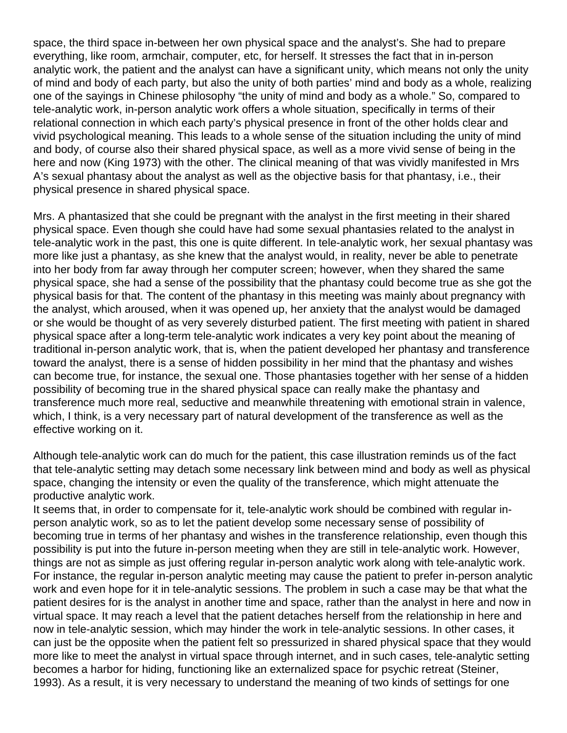space, the third space in-between her own physical space and the analyst's. She had to prepare everything, like room, armchair, computer, etc, for herself. It stresses the fact that in in-person analytic work, the patient and the analyst can have a significant unity, which means not only the unity of mind and body of each party, but also the unity of both parties' mind and body as a whole, realizing one of the sayings in Chinese philosophy "the unity of mind and body as a whole." So, compared to tele-analytic work, in-person analytic work offers a whole situation, specifically in terms of their relational connection in which each party's physical presence in front of the other holds clear and vivid psychological meaning. This leads to a whole sense of the situation including the unity of mind and body, of course also their shared physical space, as well as a more vivid sense of being in the here and now (King 1973) with the other. The clinical meaning of that was vividly manifested in Mrs A's sexual phantasy about the analyst as well as the objective basis for that phantasy, i.e., their physical presence in shared physical space.

Mrs. A phantasized that she could be pregnant with the analyst in the first meeting in their shared physical space. Even though she could have had some sexual phantasies related to the analyst in tele-analytic work in the past, this one is quite different. In tele-analytic work, her sexual phantasy was more like just a phantasy, as she knew that the analyst would, in reality, never be able to penetrate into her body from far away through her computer screen; however, when they shared the same physical space, she had a sense of the possibility that the phantasy could become true as she got the physical basis for that. The content of the phantasy in this meeting was mainly about pregnancy with the analyst, which aroused, when it was opened up, her anxiety that the analyst would be damaged or she would be thought of as very severely disturbed patient. The first meeting with patient in shared physical space after a long-term tele-analytic work indicates a very key point about the meaning of traditional in-person analytic work, that is, when the patient developed her phantasy and transference toward the analyst, there is a sense of hidden possibility in her mind that the phantasy and wishes can become true, for instance, the sexual one. Those phantasies together with her sense of a hidden possibility of becoming true in the shared physical space can really make the phantasy and transference much more real, seductive and meanwhile threatening with emotional strain in valence, which, I think, is a very necessary part of natural development of the transference as well as the effective working on it.

Although tele-analytic work can do much for the patient, this case illustration reminds us of the fact that tele-analytic setting may detach some necessary link between mind and body as well as physical space, changing the intensity or even the quality of the transference, which might attenuate the productive analytic work.

It seems that, in order to compensate for it, tele-analytic work should be combined with regular inperson analytic work, so as to let the patient develop some necessary sense of possibility of becoming true in terms of her phantasy and wishes in the transference relationship, even though this possibility is put into the future in-person meeting when they are still in tele-analytic work. However, things are not as simple as just offering regular in-person analytic work along with tele-analytic work. For instance, the regular in-person analytic meeting may cause the patient to prefer in-person analytic work and even hope for it in tele-analytic sessions. The problem in such a case may be that what the patient desires for is the analyst in another time and space, rather than the analyst in here and now in virtual space. It may reach a level that the patient detaches herself from the relationship in here and now in tele-analytic session, which may hinder the work in tele-analytic sessions. In other cases, it can just be the opposite when the patient felt so pressurized in shared physical space that they would more like to meet the analyst in virtual space through internet, and in such cases, tele-analytic setting becomes a harbor for hiding, functioning like an externalized space for psychic retreat (Steiner, 1993). As a result, it is very necessary to understand the meaning of two kinds of settings for one